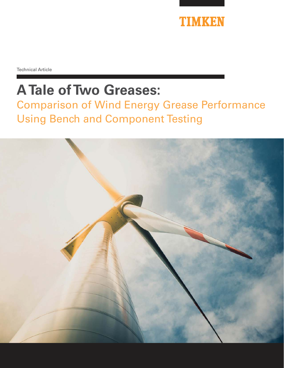

Technical Article

# **A Tale of Two Greases:**

Comparison of Wind Energy Grease Performance Using Bench and Component Testing

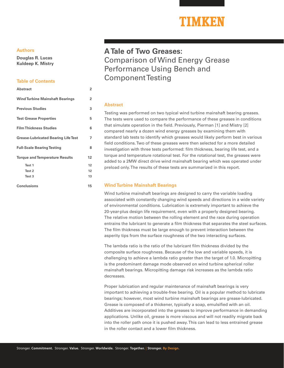#### **Authors**

**Douglas R. Lucas Kuldeep K. Mistry**

#### **Table of Contents**

| Abstract                                   | $\overline{2}$ |
|--------------------------------------------|----------------|
| <b>Wind Turbine Mainshaft Bearings</b>     | 2              |
| <b>Previous Studies</b>                    | 3              |
| <b>Test Grease Properties</b>              | 5              |
| <b>Film Thickness Studies</b>              | 6              |
| <b>Grease-Lubricated Bearing Life Test</b> | 7              |
| <b>Full-Scale Bearing Testing</b>          | 8              |
| <b>Torque and Temperature Results</b>      | 12             |
| Test 1                                     | 12             |
| Test <sub>2</sub>                          | 12             |
| Test <sub>3</sub>                          | 13             |
| Conclusions                                | 15             |

### **A Tale of Two Greases:**  Comparison of Wind Energy Grease Performance Using Bench and Component Testing

#### **Abstract**

Testing was performed on two typical wind turbine mainshaft bearing greases. The tests were used to compare the performance of these greases in conditions that simulate operation in the field. Previously, Pierman [1] and Mistry [2] compared nearly a dozen wind energy greases by examining them with standard lab tests to identify which greases would likely perform best in various field conditions. Two of these greases were then selected for a more detailed investigation with three tests performed: film thickness, bearing life test, and a torque and temperature rotational test. For the rotational test, the greases were added to a 2MW direct drive wind mainshaft bearing which was operated under preload only. The results of these tests are summarized in this report.

#### **Wind Turbine Mainshaft Bearings**

Wind turbine mainshaft bearings are designed to carry the variable loading associated with constantly changing wind speeds and directions in a wide variety of environmental conditions. Lubrication is extremely important to achieve the 20-year-plus design life requirement, even with a properly designed bearing. The relative motion between the rolling element and the race during operation entrains the lubricant to generate a film thickness that separates the steel surfaces. The film thickness must be large enough to prevent interaction between the asperity tips from the surface roughness of the two interacting surfaces.

The lambda ratio is the ratio of the lubricant film thickness divided by the composite surface roughness. Because of the low and variable speeds, it is challenging to achieve a lambda ratio greater than the target of 1.0. Micropitting is the predominant damage mode observed on wind turbine spherical roller mainshaft bearings. Micropitting damage risk increases as the lambda ratio decreases.

Proper lubrication and regular maintenance of mainshaft bearings is very important to achieving a trouble-free bearing. Oil is a popular method to lubricate bearings; however, most wind turbine mainshaft bearings are grease-lubricated. Grease is composed of a thickener, typically a soap, emulsified with an oil. Additives are incorporated into the greases to improve performance in demanding applications. Unlike oil, grease is more viscous and will not readily migrate back into the roller path once it is pushed away. This can lead to less entrained grease in the roller contact and a lower film thickness.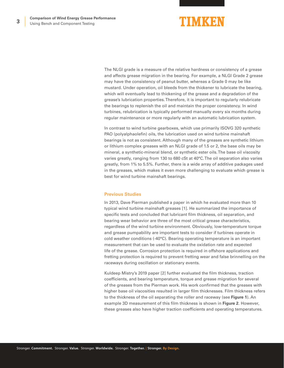### TIMKEN

The NLGI grade is a measure of the relative hardness or consistency of a grease and affects grease migration in the bearing. For example, a NLGI Grade 2 grease may have the consistency of peanut butter, whereas a Grade 0 may be like mustard. Under operation, oil bleeds from the thickener to lubricate the bearing, which will eventually lead to thickening of the grease and a degradation of the grease's lubrication properties. Therefore, it is important to regularly relubricate the bearings to replenish the oil and maintain the proper consistency. In wind turbines, relubrication is typically performed manually every six months during regular maintenance or more regularly with an automatic lubrication system.

In contrast to wind turbine gearboxes, which use primarily ISOVG 320 synthetic PAO (polyalphaolefin) oils, the lubrication used on wind turbine mainshaft bearings is not as consistent. Although many of the greases are synthetic lithium or lithium complex greases with an NLGI grade of 1.5 or 2, the base oils may be mineral, a synthetic-mineral blend, or synthetic ester oils. The base oil viscosity varies greatly, ranging from 130 to 680 cSt at 40°C. The oil separation also varies greatly, from 1% to 5.5%. Further, there is a wide array of additive packages used in the greases, which makes it even more challenging to evaluate which grease is best for wind turbine mainshaft bearings.

#### **Previous Studies**

In 2013, Dave Pierman published a paper in which he evaluated more than 10 typical wind turbine mainshaft greases [1]. He summarized the importance of specific tests and concluded that lubricant film thickness, oil separation, and bearing wear behavior are three of the most critical grease characteristics, regardless of the wind turbine environment. Obviously, low-temperature torque and grease pumpability are important tests to consider if turbines operate in cold weather conditions (-40°C). Bearing operating temperature is an important measurement that can be used to evaluate the oxidation rate and expected life of the grease. Corrosion protection is required in offshore applications and fretting protection is required to prevent fretting wear and false brinnelling on the raceways during oscillation or stationary events.

Kuldeep Mistry's 2019 paper [2] further evaluated the film thickness, traction coefficients, and bearing temperature, torque and grease migration for several of the greases from the Pierman work. His work confirmed that the greases with higher base oil viscosities resulted in larger film thicknesses. Film thickness refers to the thickness of the oil separating the roller and raceway (see **Figure 1**). An example 3D measurement of this film thickness is shown in **Figure 2**. However, these greases also have higher traction coefficients and operating temperatures.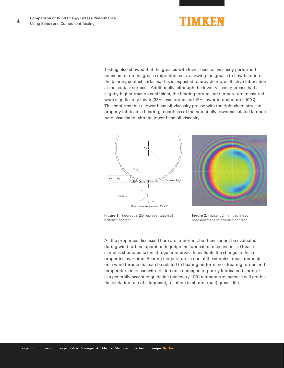Testing also showed that the greases with lower base oil viscosity performed much better on the grease migration tests, allowing the grease to flow back into the bearing contact surfaces. This is expected to provide more effective lubrication at the contact surfaces. Additionally, although the lower-viscosity grease had a slightly higher traction coefficient, the bearing torque and temperature measured were significantly lower (35% less torque and 15% lower temperature (-10°C)). This confirms that a lower base oil-viscosity grease with the right chemistry can properly lubricate a bearing, regardless of the potentially lower calculated lambda ratio associated with the lower base oil viscosity.





**Figure 1**: Theoretical 2D representation of ball-disc contact

**Figure 2**: Typical 3D film thickness measurement of ball-disc contact

All the properties discussed here are important, but they cannot be evaluated during wind turbine operation to judge the lubrication effectiveness. Grease samples should be taken at regular intervals to evaluate the change in these properties over time. Bearing temperature is one of the simplest measurements on a wind turbine that can be related to bearing performance. Bearing torque and temperature increase with friction on a damaged or poorly lubricated bearing. It is a generally accepted guideline that every 10°C temperature increase will double the oxidation rate of a lubricant, resulting in shorter (half) grease life.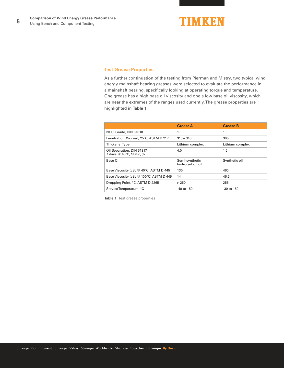

#### **Test Grease Properties**

As a further continuation of the testing from Pierman and Mistry, two typical wind energy mainshaft bearing greases were selected to evaluate the performance in a mainshaft bearing, specifically looking at operating torque and temperature. One grease has a high base oil viscosity and one a low base oil viscosity, which are near the extremes of the ranges used currently. The grease properties are highlighted in **Table 1**.

|                                                       | <b>Grease A</b>                   | <b>Grease B</b> |
|-------------------------------------------------------|-----------------------------------|-----------------|
| NLGI Grade, DIN 51818                                 | 1                                 | 1.5             |
| Penetration, Worked, 25°C, ASTM D 217                 | $310 - 340$                       | 305             |
| <b>Thickener Type</b>                                 | Lithium complex                   | Lithium complex |
| Oil Separation, DIN 51817<br>7 days @ 40°C, Static, % | 4.0                               | 1.5             |
| Base Oil                                              | Semi-synthetic<br>hydrocarbon oil | Synthetic oil   |
| Base Viscosity (cSt @ 40°C) ASTM D 445                | 130                               | 460             |
| Base Viscosity (cSt @ 100°C) ASTM D 445               | 14                                | 46.5            |
| Dropping Point, °C, ASTM D 2265                       | > 250                             | 255             |
| Service Temperature, °C                               | $-40$ to 150                      | $-30$ to $150$  |

**Table 1:** Test grease properties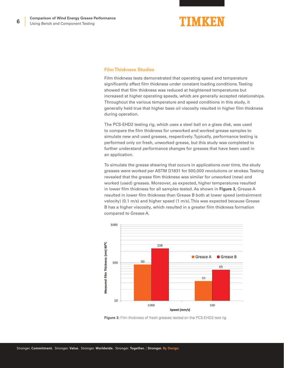### TIMKEN

#### **Film Thickness Studies**

Film thickness tests demonstrated that operating speed and temperature significantly affect film thickness under constant loading conditions. Testing showed that film thickness was reduced at heightened temperatures but increased at higher operating speeds, which are generally accepted relationships. Throughout the various temperature and speed conditions in this study, it generally held true that higher base oil viscosity resulted in higher film thickness during operation.

The PCS-EHD2 testing rig, which uses a steel ball on a glass disk, was used to compare the film thickness for unworked and worked grease samples to simulate new and used greases, respectively. Typically, performance testing is performed only on fresh, unworked grease, but this study was completed to further understand performance changes for greases that have been used in an application.

To simulate the grease shearing that occurs in applications over time, the study greases were worked per ASTM D1831 for 500,000 revolutions or strokes. Testing revealed that the grease film thickness was similar for unworked (new) and worked (used) greases. Moreover, as expected, higher temperatures resulted in lower film thickness for all samples tested. As shown in **Figure 3**, Grease A resulted in lower film thickness than Grease B both at lower speed (entrainment velocity) (0.1 m/s) and higher speed (1 m/s). This was expected because Grease B has a higher viscosity, which resulted in a greater film thickness formation compared to Grease A.



**Figure 3:** Film thickness of fresh greases tested on the PCS-EHD2 test rig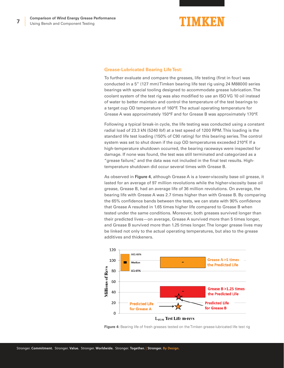

#### **Grease-Lubricated Bearing Life Test:**

To further evaluate and compare the greases, life testing (first in four) was conducted in a 5" (127 mm) Timken bearing life test rig using 24 M88000 series bearings with special tooling designed to accommodate grease lubrication. The coolant system of the test rig was also modified to use an ISO VG 10 oil instead of water to better maintain and control the temperature of the test bearings to a target cup OD temperature of 160°F. The actual operating temperature for Grease A was approximately 150°F and for Grease B was approximately 170°F.

Following a typical break-in cycle, the life testing was conducted using a constant radial load of 23.3 kN (5240 lbf) at a test speed of 1200 RPM. This loading is the standard life test loading (150% of C90 rating) for this bearing series. The control system was set to shut down if the cup OD temperatures exceeded 210°F. If a high-temperature shutdown occurred, the bearing raceways were inspected for damage. If none was found, the test was still terminated and categorized as a "grease failure," and the data was not included in the final test results. Hightemperature shutdown did occur several times with Grease B.

As observed in **Figure 4**, although Grease A is a lower-viscosity base oil grease, it lasted for an average of 97 million revolutions while the higher-viscosity base oil grease, Grease B, had an average life of 36 million revolutions. On average, the bearing life with Grease A was 2.7 times higher than with Grease B. By comparing the 65% confidence bands between the tests, we can state with 90% confidence that Grease A resulted in 1.65 times higher life compared to Grease B when tested under the same conditions. Moreover, both greases survived longer than their predicted lives—on average, Grease A survived more than 5 times longer, and Grease B survived more than 1.25 times longer. The longer grease lives may be linked not only to the actual operating temperatures, but also to the grease additives and thickeners.



**Figure 4:** Bearing life of fresh greases tested on the Timken grease-lubricated life test rig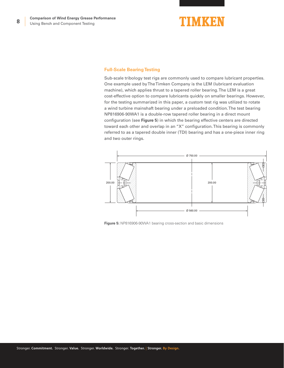

#### **Full-Scale Bearing Testing**

Sub-scale tribology test rigs are commonly used to compare lubricant properties. One example used by The Timken Company is the LEM (lubricant evaluation machine), which applies thrust to a tapered roller bearing. The LEM is a great cost-effective option to compare lubricants quickly on smaller bearings. However, for the testing summarized in this paper, a custom test rig was utilized to rotate a wind turbine mainshaft bearing under a preloaded condition. The test bearing NP816906-90WA1 is a double-row tapered roller bearing in a direct mount configuration (see **Figure 5**) in which the bearing effective centers are directed toward each other and overlap in an "X" configuration. This bearing is commonly referred to as a tapered double inner (TDI) bearing and has a one-piece inner ring and two outer rings.



**Figure 5:** NP816906-90WA1 bearing cross-section and basic dimensions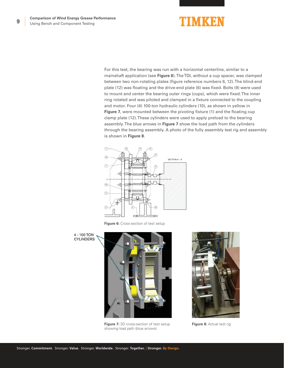For this test, the bearing was run with a horizontal centerline, similar to a mainshaft application (see **Figure 6**). The TDI, without a cup spacer, was clamped between two non-rotating plates (figure reference numbers 6, 12). The blind-end plate (12) was floating and the drive-end plate (6) was fixed. Bolts (9) were used to mount and center the bearing outer rings (cups), which were fixed. The inner ring rotated and was piloted and clamped in a fixture connected to the coupling and motor. Four (4) 100-ton hydraulic cylinders (10), as shown in yellow in **Figure 7**, were mounted between the pivoting fixture (1) and the floating cup clamp plate (12). These cylinders were used to apply preload to the bearing assembly. The blue arrows in **Figure 7** show the load path from the cylinders through the bearing assembly. A photo of the fully assembly test rig and assembly is shown in **Figure 8**.



**Figure 6:** Cross-section of test setup



**Figure 7:** 3D cross-section of test setup showing load path (blue arrows)



**Figure 8: Actual test rig**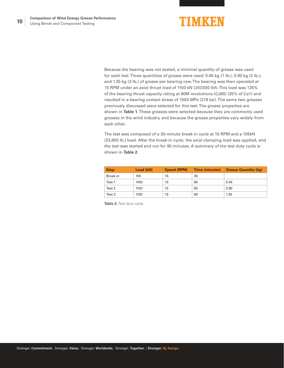

Because the bearing was not sealed, a minimal quantity of grease was used for each test. Three quantities of grease were used: 0.45 kg (1 lb.), 0.90 kg (2 lb.), and 1.35 kg (3 lb.) of grease per bearing row. The bearing was then operated at 15 RPM under an axial thrust load of 1100 kN (247,000 lbf). This load was 135% of the bearing thrust capacity rating at 90M revolutions (Ca90) (35% of Ca1) and resulted in a bearing contact stress of 1500 MPa (218 ksi). The same two greases previously discussed were selected for this test. The grease properties are shown in **Table 1**. These greases were selected because they are commonly used greases in the wind industry and because the grease properties vary widely from each other.

The test was composed of a 30-minute break-in cycle at 15 RPM and a 105kN (23,600 lb.) load. After the break-in cycle, the axial clamping load was applied, and the test was started and run for 90 minutes. A summary of the test duty cycle is shown in **Table 2**.

| <b>Step</b> | Load (kN) | Speed (RPM) | Time (minutes) | <b>Grease Quantity (kg)</b> |
|-------------|-----------|-------------|----------------|-----------------------------|
| Break-in    | 105       | 15          | 30             |                             |
| Test 1      | 1100      | 15          | 90             | 0.45                        |
| Test 2      | 1100      | 15          | 90             | 0.90                        |
| Test 3      | 1100      | 15          | 90             | 1.35                        |

**Table 2:** Test duty cycle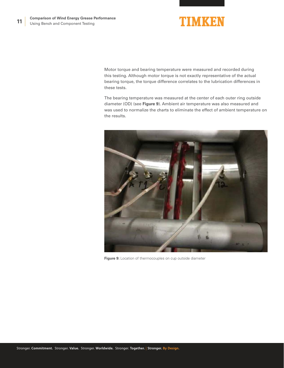

Motor torque and bearing temperature were measured and recorded during this testing. Although motor torque is not exactly representative of the actual bearing torque, the torque difference correlates to the lubrication differences in these tests.

The bearing temperature was measured at the center of each outer ring outside diameter (OD) (see **Figure 9**). Ambient air temperature was also measured and was used to normalize the charts to eliminate the effect of ambient temperature on the results.



**Figure 9:** Location of thermocouples on cup outside diameter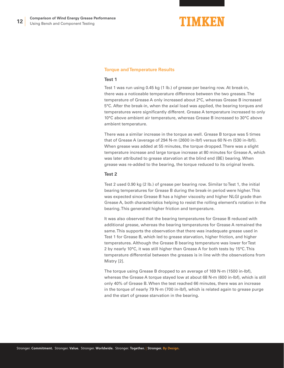#### **Torque and Temperature Results**

#### **Test 1**

Test 1 was run using 0.45 kg (1 lb.) of grease per bearing row. At break-in, there was a noticeable temperature difference between the two greases. The temperature of Grease A only increased about 2°C, whereas Grease B increased 5°C. After the break-in, when the axial load was applied, the bearing torques and temperatures were significantly different. Grease A temperature increased to only 10°C above ambient air temperature, whereas Grease B increased to 30°C above ambient temperature.

There was a similar increase in the torque as well. Grease B torque was 5 times that of Grease A (average of 294 N-m (2600 in-lbf) versus 60 N-m (530 in-lbf)). When grease was added at 55 minutes, the torque dropped. There was a slight temperature increase and large torque increase at 80 minutes for Grease A, which was later attributed to grease starvation at the blind end (BE) bearing. When grease was re-added to the bearing, the torque reduced to its original levels.

#### **Test 2**

Test 2 used 0.90 kg (2 lb.) of grease per bearing row. Similar to Test 1, the initial bearing temperatures for Grease B during the break-in period were higher. This was expected since Grease B has a higher viscosity and higher NLGI grade than Grease A, both characteristics helping to resist the rolling element's rotation in the bearing. This generated higher friction and temperature.

It was also observed that the bearing temperatures for Grease B reduced with additional grease, whereas the bearing temperatures for Grease A remained the same. This supports the observation that there was inadequate grease used in Test 1 for Grease B, which led to grease starvation, higher friction, and higher temperatures. Although the Grease B bearing temperature was lower for Test 2 by nearly 10°C, it was still higher than Grease A for both tests by 15°C. This temperature differential between the greases is in line with the observations from Mistry [2].

The torque using Grease B dropped to an average of 169 N-m (1500 in-lbf), whereas the Grease A torque stayed low at about 68 N-m (600 in-lbf), which is still only 40% of Grease B. When the test reached 66 minutes, there was an increase in the torque of nearly 79 N-m (700 in-lbf), which is related again to grease purge and the start of grease starvation in the bearing.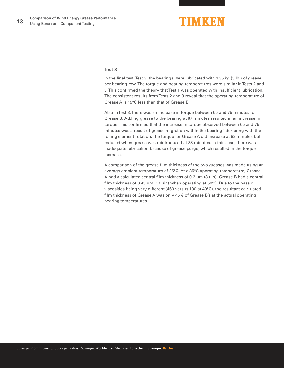#### **Test 3**

In the final test, Test 3, the bearings were lubricated with 1.35 kg (3 lb.) of grease per bearing row. The torque and bearing temperatures were similar in Tests 2 and 3. This confirmed the theory that Test 1 was operated with insufficient lubrication. The consistent results from Tests 2 and 3 reveal that the operating temperature of Grease A is 15°C less than that of Grease B.

Also in Test 3, there was an increase in torque between 65 and 75 minutes for Grease B. Adding grease to the bearing at 87 minutes resulted in an increase in torque. This confirmed that the increase in torque observed between 65 and 75 minutes was a result of grease migration within the bearing interfering with the rolling element rotation. The torque for Grease A did increase at 82 minutes but reduced when grease was reintroduced at 88 minutes. In this case, there was inadequate lubrication because of grease purge, which resulted in the torque increase.

A comparison of the grease film thickness of the two greases was made using an average ambient temperature of 25°C. At a 35°C operating temperature, Grease A had a calculated central film thickness of 0.2 um (8 uin). Grease B had a central film thickness of 0.43 um (17 uin) when operating at 50°C. Due to the base oil viscosities being very different (460 versus 130 at 40°C), the resultant calculated film thickness of Grease A was only 45% of Grease B's at the actual operating bearing temperatures.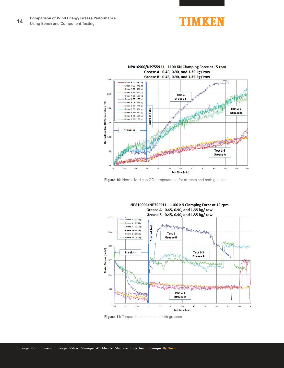





**Figure 10:** Normalized cup OD temperatures for all tests and both greases



**Figure 11:** Torque for all tests and both greases